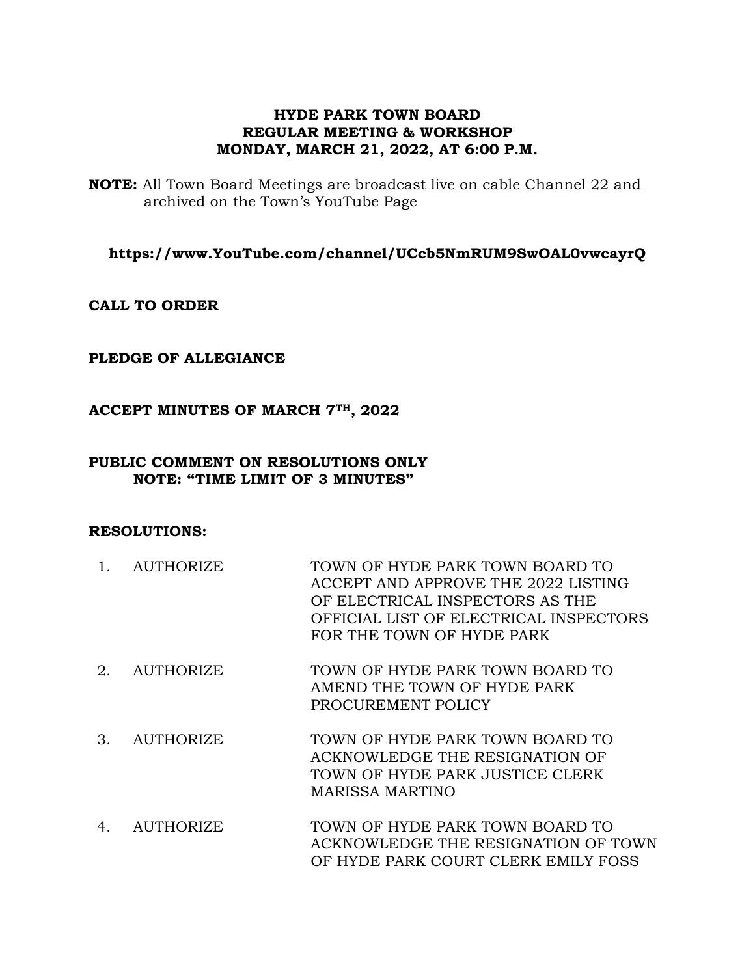## **HYDE PARK TOWN BOARD REGULAR MEETING & WORKSHOP MONDAY, MARCH 21, 2022, AT 6:00 P.M.**

**NOTE:** All Town Board Meetings are broadcast live on cable Channel 22 and archived on the Town's YouTube Page

**https://www.YouTube.com/channel/UCcb5NmRUM9SwOAL0vwcayrQ**

**CALL TO ORDER**

### **PLEDGE OF ALLEGIANCE**

### **ACCEPT MINUTES OF MARCH 7TH, 2022**

### **PUBLIC COMMENT ON RESOLUTIONS ONLY NOTE: "TIME LIMIT OF 3 MINUTES"**

#### **RESOLUTIONS:**

- 1. AUTHORIZE TOWN OF HYDE PARK TOWN BOARD TO ACCEPT AND APPROVE THE 2022 LISTING OF ELECTRICAL INSPECTORS AS THE OFFICIAL LIST OF ELECTRICAL INSPECTORS FOR THE TOWN OF HYDE PARK
- 2. AUTHORIZE TOWN OF HYDE PARK TOWN BOARD TO AMEND THE TOWN OF HYDE PARK PROCUREMENT POLICY
- 3. AUTHORIZE TOWN OF HYDE PARK TOWN BOARD TO ACKNOWLEDGE THE RESIGNATION OF TOWN OF HYDE PARK JUSTICE CLERK MARISSA MARTINO
- 4. AUTHORIZE TOWN OF HYDE PARK TOWN BOARD TO ACKNOWLEDGE THE RESIGNATION OF TOWN OF HYDE PARK COURT CLERK EMILY FOSS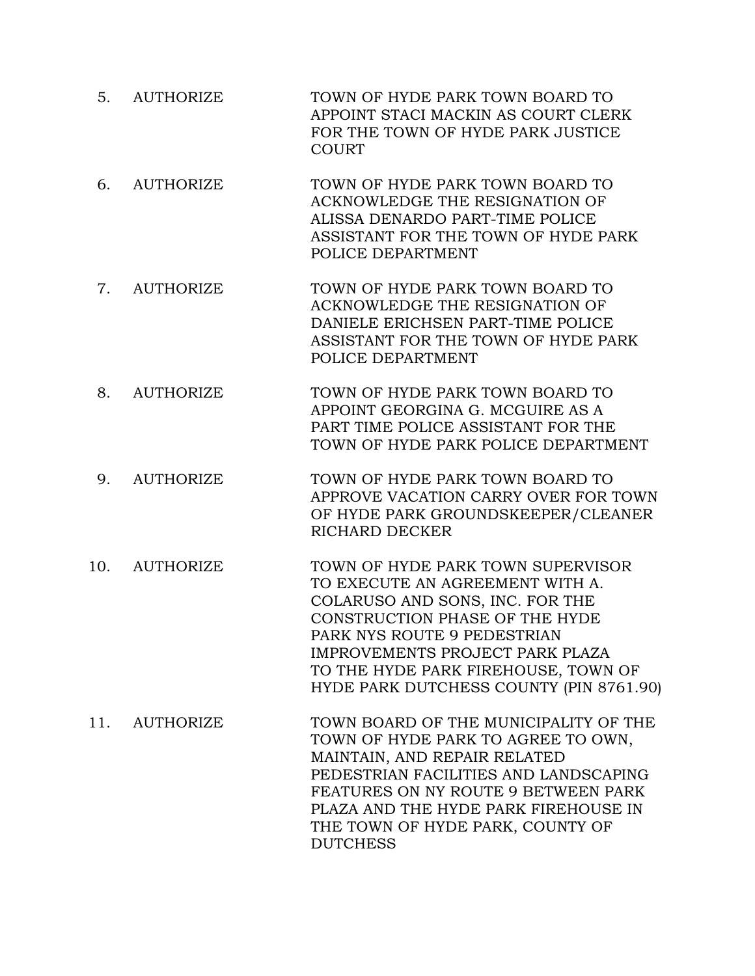- 5. AUTHORIZE TOWN OF HYDE PARK TOWN BOARD TO APPOINT STACI MACKIN AS COURT CLERK FOR THE TOWN OF HYDE PARK JUSTICE COURT
- 6. AUTHORIZE TOWN OF HYDE PARK TOWN BOARD TO ACKNOWLEDGE THE RESIGNATION OF ALISSA DENARDO PART-TIME POLICE ASSISTANT FOR THE TOWN OF HYDE PARK POLICE DEPARTMENT
- 7. AUTHORIZE TOWN OF HYDE PARK TOWN BOARD TO ACKNOWLEDGE THE RESIGNATION OF DANIELE ERICHSEN PART-TIME POLICE ASSISTANT FOR THE TOWN OF HYDE PARK POLICE DEPARTMENT
- 8. AUTHORIZE TOWN OF HYDE PARK TOWN BOARD TO APPOINT GEORGINA G. MCGUIRE AS A PART TIME POLICE ASSISTANT FOR THE TOWN OF HYDE PARK POLICE DEPARTMENT
- 9. AUTHORIZE TOWN OF HYDE PARK TOWN BOARD TO APPROVE VACATION CARRY OVER FOR TOWN OF HYDE PARK GROUNDSKEEPER/CLEANER RICHARD DECKER
- 10. AUTHORIZE TOWN OF HYDE PARK TOWN SUPERVISOR TO EXECUTE AN AGREEMENT WITH A. COLARUSO AND SONS, INC. FOR THE CONSTRUCTION PHASE OF THE HYDE PARK NYS ROUTE 9 PEDESTRIAN IMPROVEMENTS PROJECT PARK PLAZA TO THE HYDE PARK FIREHOUSE, TOWN OF HYDE PARK DUTCHESS COUNTY (PIN 8761.90)
- 11. AUTHORIZE TOWN BOARD OF THE MUNICIPALITY OF THE TOWN OF HYDE PARK TO AGREE TO OWN, MAINTAIN, AND REPAIR RELATED PEDESTRIAN FACILITIES AND LANDSCAPING FEATURES ON NY ROUTE 9 BETWEEN PARK PLAZA AND THE HYDE PARK FIREHOUSE IN THE TOWN OF HYDE PARK, COUNTY OF **DUTCHESS**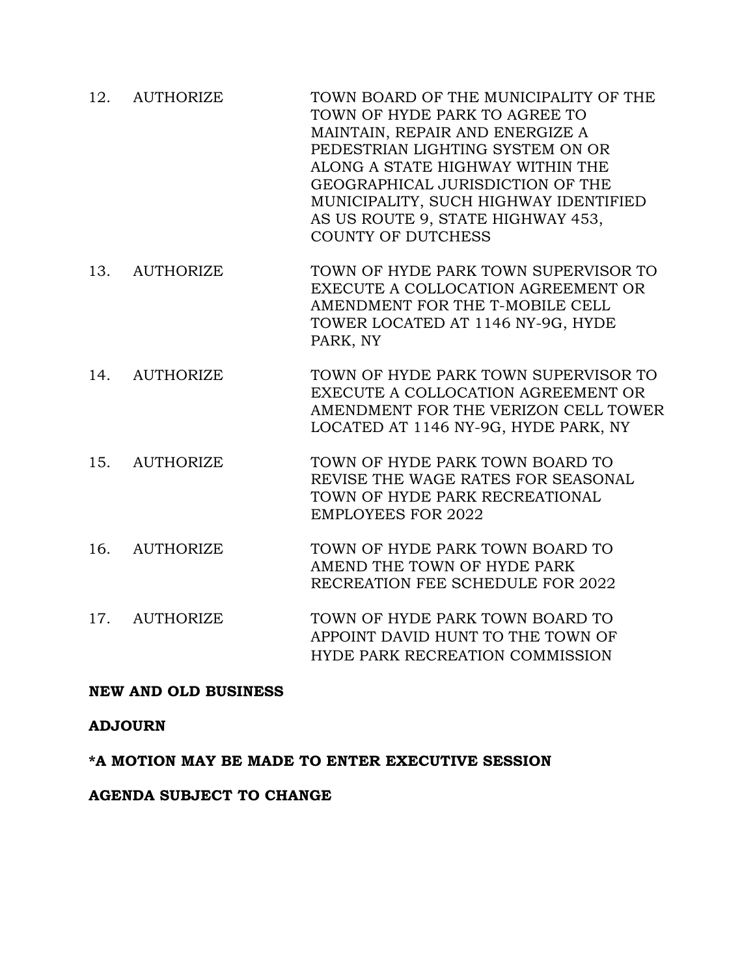- 12. AUTHORIZE TOWN BOARD OF THE MUNICIPALITY OF THE TOWN OF HYDE PARK TO AGREE TO MAINTAIN, REPAIR AND ENERGIZE A PEDESTRIAN LIGHTING SYSTEM ON OR ALONG A STATE HIGHWAY WITHIN THE GEOGRAPHICAL JURISDICTION OF THE MUNICIPALITY, SUCH HIGHWAY IDENTIFIED AS US ROUTE 9, STATE HIGHWAY 453, COUNTY OF DUTCHESS
- 13. AUTHORIZE TOWN OF HYDE PARK TOWN SUPERVISOR TO EXECUTE A COLLOCATION AGREEMENT OR AMENDMENT FOR THE T-MOBILE CELL TOWER LOCATED AT 1146 NY-9G, HYDE PARK, NY
- 14. AUTHORIZE TOWN OF HYDE PARK TOWN SUPERVISOR TO EXECUTE A COLLOCATION AGREEMENT OR AMENDMENT FOR THE VERIZON CELL TOWER LOCATED AT 1146 NY-9G, HYDE PARK, NY
- 15. AUTHORIZE TOWN OF HYDE PARK TOWN BOARD TO REVISE THE WAGE RATES FOR SEASONAL TOWN OF HYDE PARK RECREATIONAL EMPLOYEES FOR 2022
- 16. AUTHORIZE TOWN OF HYDE PARK TOWN BOARD TO AMEND THE TOWN OF HYDE PARK RECREATION FEE SCHEDULE FOR 2022
- 17. AUTHORIZE TOWN OF HYDE PARK TOWN BOARD TO APPOINT DAVID HUNT TO THE TOWN OF HYDE PARK RECREATION COMMISSION

# **NEW AND OLD BUSINESS**

# **ADJOURN**

**\*A MOTION MAY BE MADE TO ENTER EXECUTIVE SESSION**

### **AGENDA SUBJECT TO CHANGE**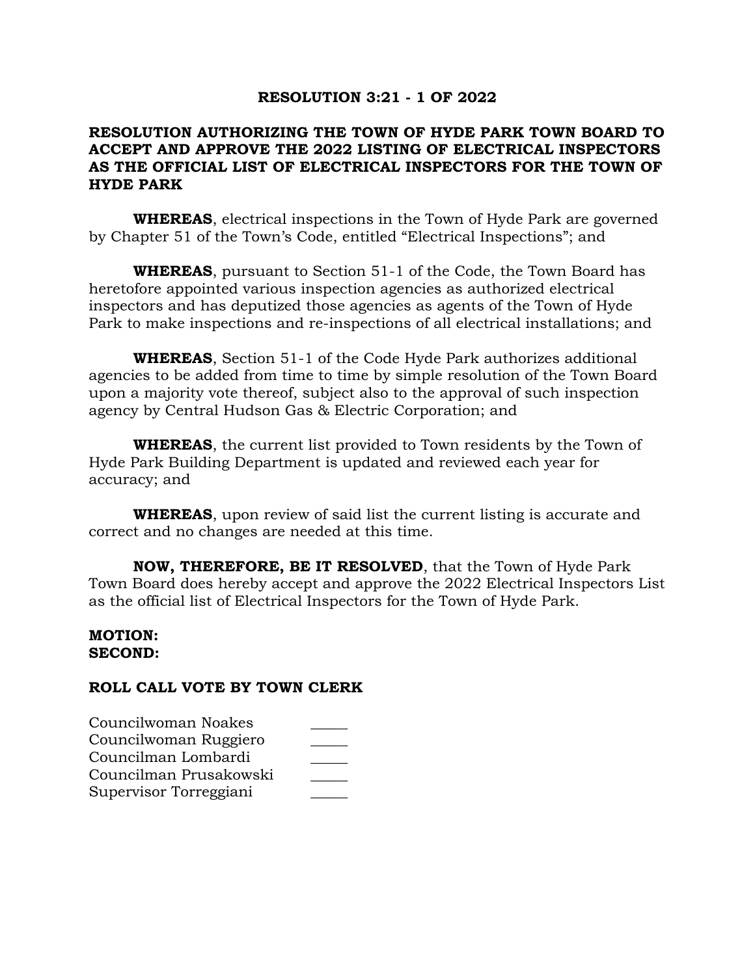### **RESOLUTION 3:21 - 1 OF 2022**

# **RESOLUTION AUTHORIZING THE TOWN OF HYDE PARK TOWN BOARD TO ACCEPT AND APPROVE THE 2022 LISTING OF ELECTRICAL INSPECTORS AS THE OFFICIAL LIST OF ELECTRICAL INSPECTORS FOR THE TOWN OF HYDE PARK**

**WHEREAS**, electrical inspections in the Town of Hyde Park are governed by Chapter 51 of the Town's Code, entitled "Electrical Inspections"; and

**WHEREAS**, pursuant to Section 51-1 of the Code, the Town Board has heretofore appointed various inspection agencies as authorized electrical inspectors and has deputized those agencies as agents of the Town of Hyde Park to make inspections and re-inspections of all electrical installations; and

**WHEREAS**, Section 51-1 of the Code Hyde Park authorizes additional agencies to be added from time to time by simple resolution of the Town Board upon a majority vote thereof, subject also to the approval of such inspection agency by Central Hudson Gas & Electric Corporation; and

**WHEREAS**, the current list provided to Town residents by the Town of Hyde Park Building Department is updated and reviewed each year for accuracy; and

**WHEREAS**, upon review of said list the current listing is accurate and correct and no changes are needed at this time.

**NOW, THEREFORE, BE IT RESOLVED**, that the Town of Hyde Park Town Board does hereby accept and approve the 2022 Electrical Inspectors List as the official list of Electrical Inspectors for the Town of Hyde Park.

## **MOTION: SECOND:**

| Councilwoman Noakes    |  |
|------------------------|--|
| Councilwoman Ruggiero  |  |
| Councilman Lombardi    |  |
| Councilman Prusakowski |  |
| Supervisor Torreggiani |  |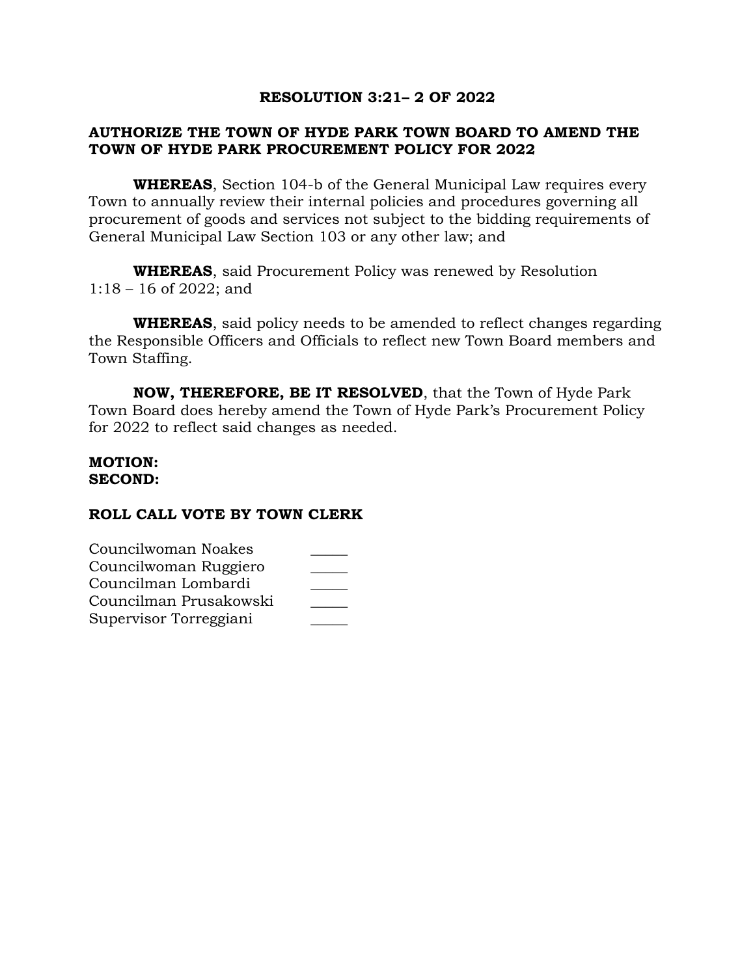## **RESOLUTION 3:21– 2 OF 2022**

# **AUTHORIZE THE TOWN OF HYDE PARK TOWN BOARD TO AMEND THE TOWN OF HYDE PARK PROCUREMENT POLICY FOR 2022**

**WHEREAS**, Section 104-b of the General Municipal Law requires every Town to annually review their internal policies and procedures governing all procurement of goods and services not subject to the bidding requirements of General Municipal Law Section 103 or any other law; and

**WHEREAS**, said Procurement Policy was renewed by Resolution 1:18 – 16 of 2022; and

**WHEREAS**, said policy needs to be amended to reflect changes regarding the Responsible Officers and Officials to reflect new Town Board members and Town Staffing.

**NOW, THEREFORE, BE IT RESOLVED**, that the Town of Hyde Park Town Board does hereby amend the Town of Hyde Park's Procurement Policy for 2022 to reflect said changes as needed.

#### **MOTION: SECOND:**

| Councilwoman Noakes    |  |
|------------------------|--|
| Councilwoman Ruggiero  |  |
| Councilman Lombardi    |  |
| Councilman Prusakowski |  |
| Supervisor Torreggiani |  |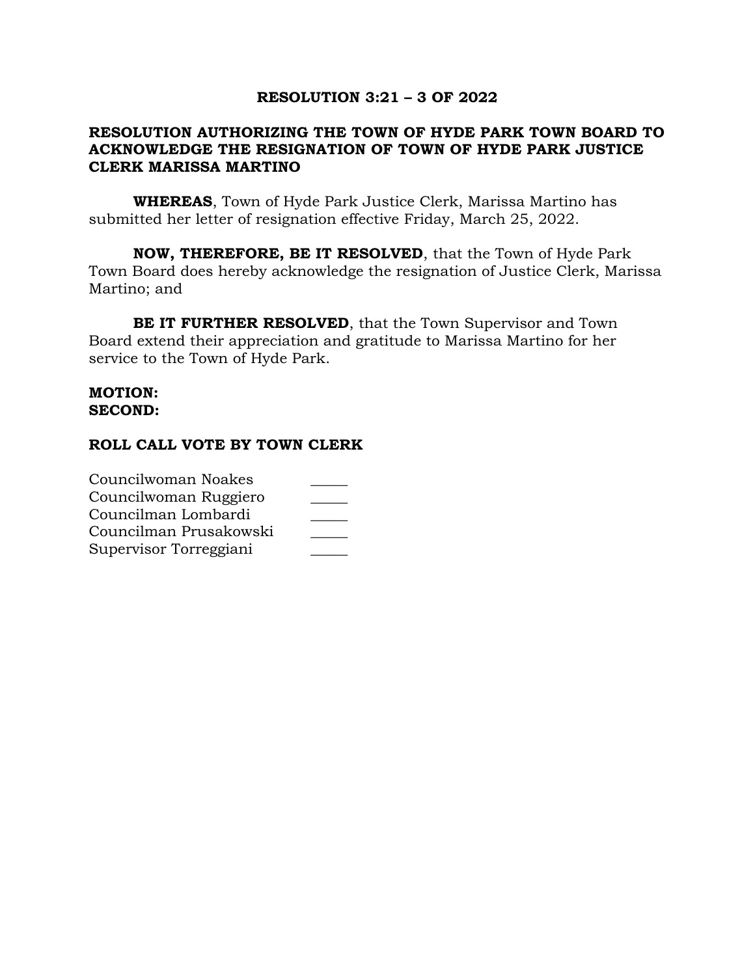## **RESOLUTION 3:21 – 3 OF 2022**

## **RESOLUTION AUTHORIZING THE TOWN OF HYDE PARK TOWN BOARD TO ACKNOWLEDGE THE RESIGNATION OF TOWN OF HYDE PARK JUSTICE CLERK MARISSA MARTINO**

**WHEREAS**, Town of Hyde Park Justice Clerk, Marissa Martino has submitted her letter of resignation effective Friday, March 25, 2022.

**NOW, THEREFORE, BE IT RESOLVED**, that the Town of Hyde Park Town Board does hereby acknowledge the resignation of Justice Clerk, Marissa Martino; and

**BE IT FURTHER RESOLVED**, that the Town Supervisor and Town Board extend their appreciation and gratitude to Marissa Martino for her service to the Town of Hyde Park.

### **MOTION: SECOND:**

| Councilwoman Noakes    |  |
|------------------------|--|
| Councilwoman Ruggiero  |  |
| Councilman Lombardi    |  |
| Councilman Prusakowski |  |
| Supervisor Torreggiani |  |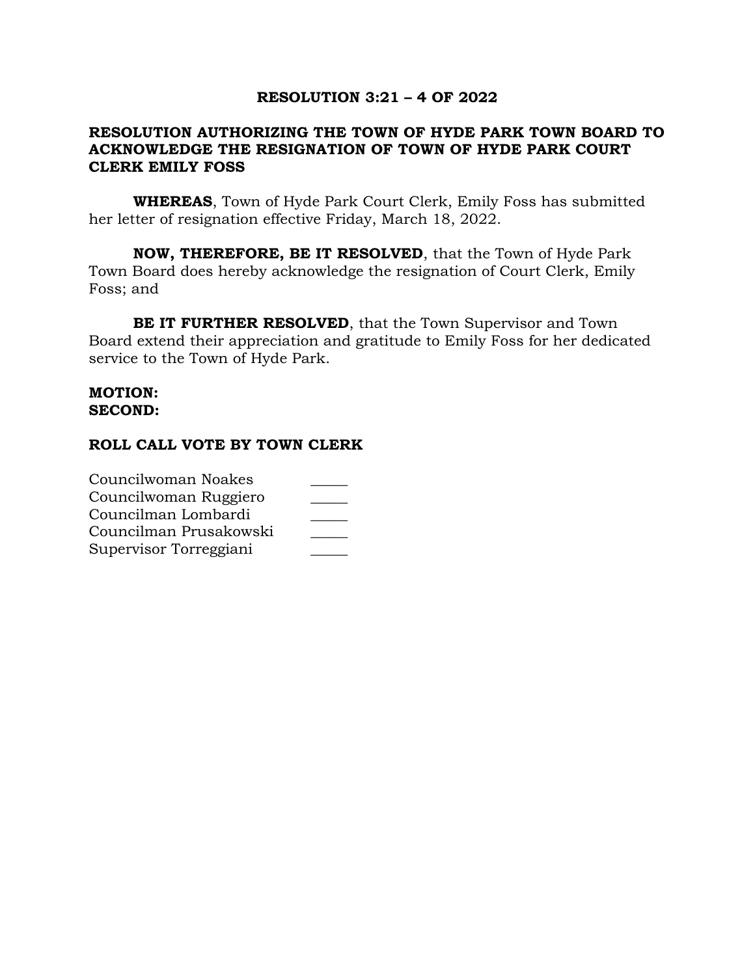## **RESOLUTION 3:21 – 4 OF 2022**

## **RESOLUTION AUTHORIZING THE TOWN OF HYDE PARK TOWN BOARD TO ACKNOWLEDGE THE RESIGNATION OF TOWN OF HYDE PARK COURT CLERK EMILY FOSS**

**WHEREAS**, Town of Hyde Park Court Clerk, Emily Foss has submitted her letter of resignation effective Friday, March 18, 2022.

**NOW, THEREFORE, BE IT RESOLVED**, that the Town of Hyde Park Town Board does hereby acknowledge the resignation of Court Clerk, Emily Foss; and

**BE IT FURTHER RESOLVED**, that the Town Supervisor and Town Board extend their appreciation and gratitude to Emily Foss for her dedicated service to the Town of Hyde Park.

### **MOTION: SECOND:**

| Councilwoman Noakes    |  |
|------------------------|--|
| Councilwoman Ruggiero  |  |
| Councilman Lombardi    |  |
| Councilman Prusakowski |  |
| Supervisor Torreggiani |  |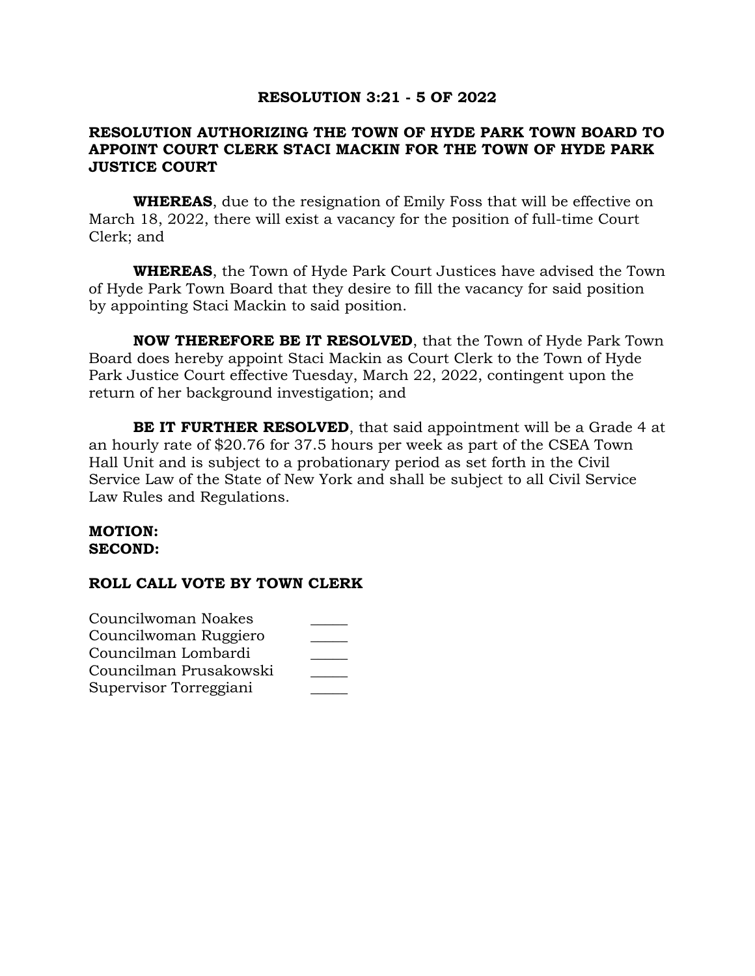### **RESOLUTION 3:21 - 5 OF 2022**

# **RESOLUTION AUTHORIZING THE TOWN OF HYDE PARK TOWN BOARD TO APPOINT COURT CLERK STACI MACKIN FOR THE TOWN OF HYDE PARK JUSTICE COURT**

**WHEREAS**, due to the resignation of Emily Foss that will be effective on March 18, 2022, there will exist a vacancy for the position of full-time Court Clerk; and

**WHEREAS**, the Town of Hyde Park Court Justices have advised the Town of Hyde Park Town Board that they desire to fill the vacancy for said position by appointing Staci Mackin to said position.

**NOW THEREFORE BE IT RESOLVED**, that the Town of Hyde Park Town Board does hereby appoint Staci Mackin as Court Clerk to the Town of Hyde Park Justice Court effective Tuesday, March 22, 2022, contingent upon the return of her background investigation; and

**BE IT FURTHER RESOLVED**, that said appointment will be a Grade 4 at an hourly rate of \$20.76 for 37.5 hours per week as part of the CSEA Town Hall Unit and is subject to a probationary period as set forth in the Civil Service Law of the State of New York and shall be subject to all Civil Service Law Rules and Regulations.

#### **MOTION: SECOND:**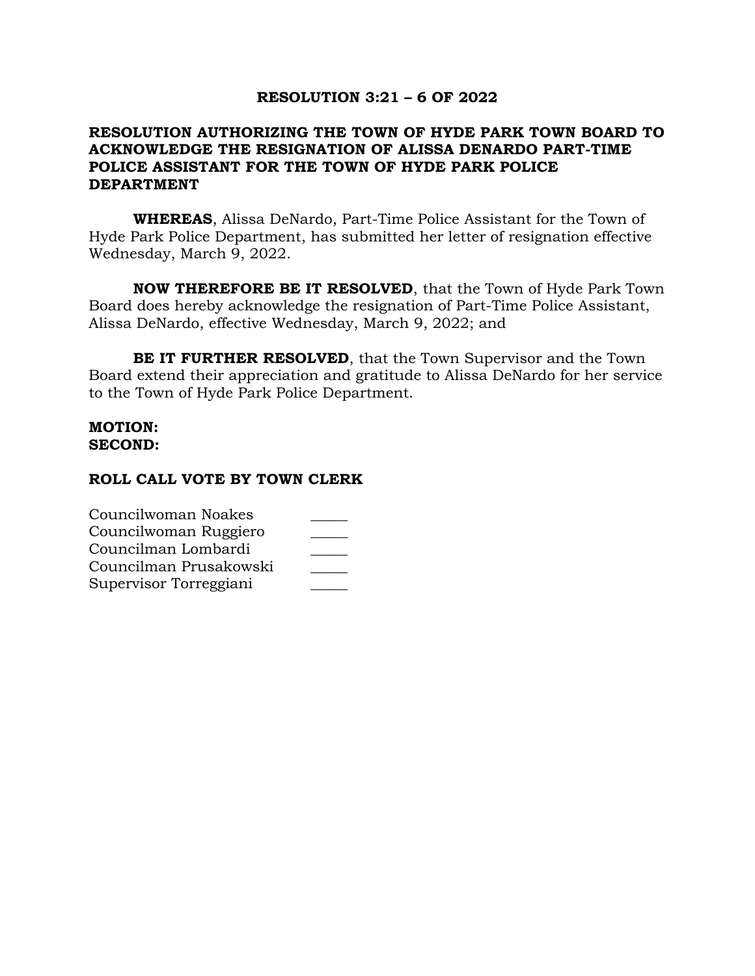### **RESOLUTION 3:21 – 6 OF 2022**

# **RESOLUTION AUTHORIZING THE TOWN OF HYDE PARK TOWN BOARD TO ACKNOWLEDGE THE RESIGNATION OF ALISSA DENARDO PART-TIME POLICE ASSISTANT FOR THE TOWN OF HYDE PARK POLICE DEPARTMENT**

**WHEREAS**, Alissa DeNardo, Part-Time Police Assistant for the Town of Hyde Park Police Department, has submitted her letter of resignation effective Wednesday, March 9, 2022.

**NOW THEREFORE BE IT RESOLVED**, that the Town of Hyde Park Town Board does hereby acknowledge the resignation of Part-Time Police Assistant, Alissa DeNardo, effective Wednesday, March 9, 2022; and

**BE IT FURTHER RESOLVED**, that the Town Supervisor and the Town Board extend their appreciation and gratitude to Alissa DeNardo for her service to the Town of Hyde Park Police Department.

### **MOTION: SECOND:**

| Councilwoman Noakes    |  |
|------------------------|--|
| Councilwoman Ruggiero  |  |
| Councilman Lombardi    |  |
| Councilman Prusakowski |  |
| Supervisor Torreggiani |  |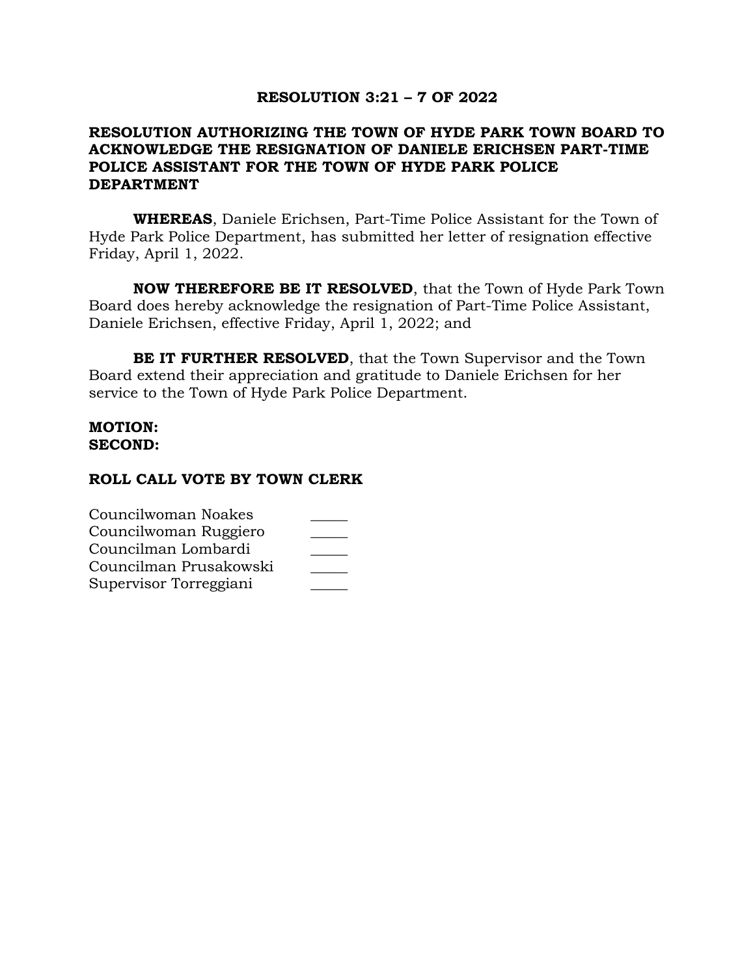### **RESOLUTION 3:21 – 7 OF 2022**

## **RESOLUTION AUTHORIZING THE TOWN OF HYDE PARK TOWN BOARD TO ACKNOWLEDGE THE RESIGNATION OF DANIELE ERICHSEN PART-TIME POLICE ASSISTANT FOR THE TOWN OF HYDE PARK POLICE DEPARTMENT**

**WHEREAS**, Daniele Erichsen, Part-Time Police Assistant for the Town of Hyde Park Police Department, has submitted her letter of resignation effective Friday, April 1, 2022.

**NOW THEREFORE BE IT RESOLVED**, that the Town of Hyde Park Town Board does hereby acknowledge the resignation of Part-Time Police Assistant, Daniele Erichsen, effective Friday, April 1, 2022; and

**BE IT FURTHER RESOLVED**, that the Town Supervisor and the Town Board extend their appreciation and gratitude to Daniele Erichsen for her service to the Town of Hyde Park Police Department.

### **MOTION: SECOND:**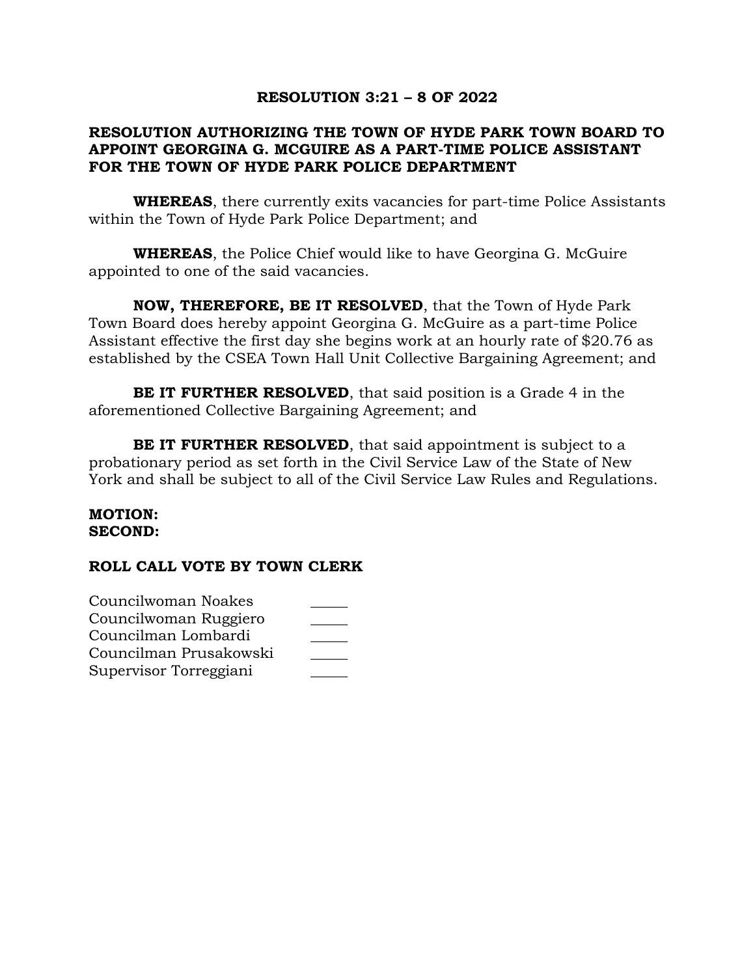# **RESOLUTION 3:21 – 8 OF 2022**

# **RESOLUTION AUTHORIZING THE TOWN OF HYDE PARK TOWN BOARD TO APPOINT GEORGINA G. MCGUIRE AS A PART-TIME POLICE ASSISTANT FOR THE TOWN OF HYDE PARK POLICE DEPARTMENT**

**WHEREAS**, there currently exits vacancies for part-time Police Assistants within the Town of Hyde Park Police Department; and

**WHEREAS**, the Police Chief would like to have Georgina G. McGuire appointed to one of the said vacancies.

**NOW, THEREFORE, BE IT RESOLVED**, that the Town of Hyde Park Town Board does hereby appoint Georgina G. McGuire as a part-time Police Assistant effective the first day she begins work at an hourly rate of \$20.76 as established by the CSEA Town Hall Unit Collective Bargaining Agreement; and

**BE IT FURTHER RESOLVED**, that said position is a Grade 4 in the aforementioned Collective Bargaining Agreement; and

**BE IT FURTHER RESOLVED**, that said appointment is subject to a probationary period as set forth in the Civil Service Law of the State of New York and shall be subject to all of the Civil Service Law Rules and Regulations.

### **MOTION: SECOND:**

| Councilwoman Noakes    |  |
|------------------------|--|
| Councilwoman Ruggiero  |  |
| Councilman Lombardi    |  |
| Councilman Prusakowski |  |
| Supervisor Torreggiani |  |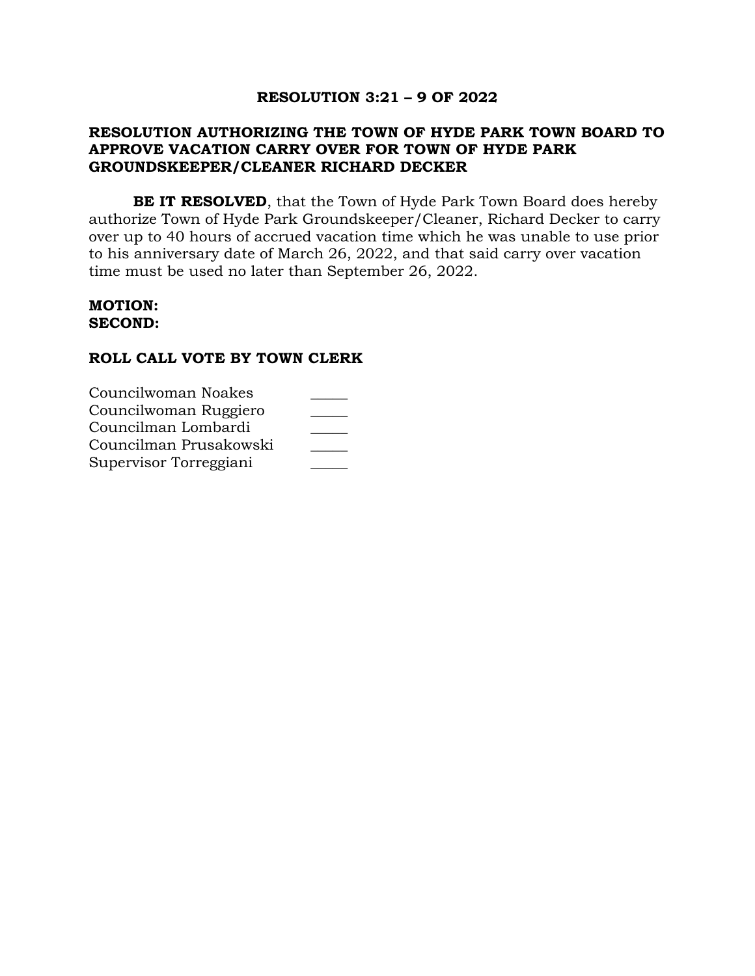# **RESOLUTION 3:21 – 9 OF 2022**

## **RESOLUTION AUTHORIZING THE TOWN OF HYDE PARK TOWN BOARD TO APPROVE VACATION CARRY OVER FOR TOWN OF HYDE PARK GROUNDSKEEPER/CLEANER RICHARD DECKER**

**BE IT RESOLVED**, that the Town of Hyde Park Town Board does hereby authorize Town of Hyde Park Groundskeeper/Cleaner, Richard Decker to carry over up to 40 hours of accrued vacation time which he was unable to use prior to his anniversary date of March 26, 2022, and that said carry over vacation time must be used no later than September 26, 2022.

#### **MOTION: SECOND:**

| Councilwoman Noakes    |  |
|------------------------|--|
| Councilwoman Ruggiero  |  |
| Councilman Lombardi    |  |
| Councilman Prusakowski |  |
| Supervisor Torreggiani |  |
|                        |  |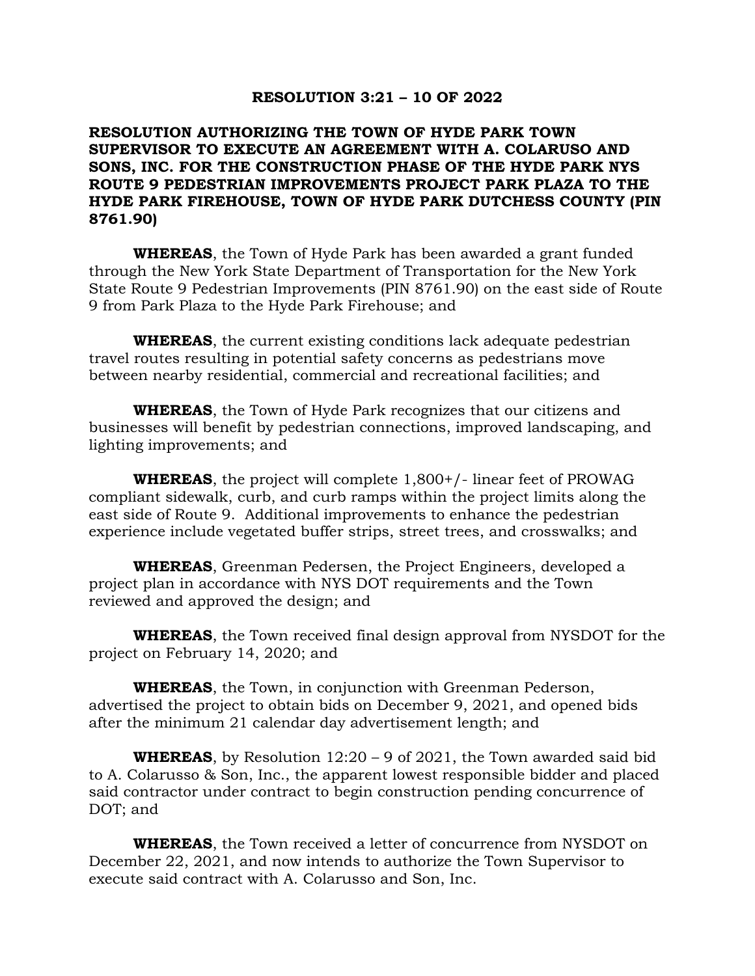### **RESOLUTION 3:21 – 10 OF 2022**

## **RESOLUTION AUTHORIZING THE TOWN OF HYDE PARK TOWN SUPERVISOR TO EXECUTE AN AGREEMENT WITH A. COLARUSO AND SONS, INC. FOR THE CONSTRUCTION PHASE OF THE HYDE PARK NYS ROUTE 9 PEDESTRIAN IMPROVEMENTS PROJECT PARK PLAZA TO THE HYDE PARK FIREHOUSE, TOWN OF HYDE PARK DUTCHESS COUNTY (PIN 8761.90)**

**WHEREAS**, the Town of Hyde Park has been awarded a grant funded through the New York State Department of Transportation for the New York State Route 9 Pedestrian Improvements (PIN 8761.90) on the east side of Route 9 from Park Plaza to the Hyde Park Firehouse; and

**WHEREAS**, the current existing conditions lack adequate pedestrian travel routes resulting in potential safety concerns as pedestrians move between nearby residential, commercial and recreational facilities; and

**WHEREAS**, the Town of Hyde Park recognizes that our citizens and businesses will benefit by pedestrian connections, improved landscaping, and lighting improvements; and

**WHEREAS**, the project will complete 1,800+/- linear feet of PROWAG compliant sidewalk, curb, and curb ramps within the project limits along the east side of Route 9. Additional improvements to enhance the pedestrian experience include vegetated buffer strips, street trees, and crosswalks; and

**WHEREAS**, Greenman Pedersen, the Project Engineers, developed a project plan in accordance with NYS DOT requirements and the Town reviewed and approved the design; and

**WHEREAS**, the Town received final design approval from NYSDOT for the project on February 14, 2020; and

**WHEREAS**, the Town, in conjunction with Greenman Pederson, advertised the project to obtain bids on December 9, 2021, and opened bids after the minimum 21 calendar day advertisement length; and

**WHEREAS**, by Resolution 12:20 – 9 of 2021, the Town awarded said bid to A. Colarusso & Son, Inc., the apparent lowest responsible bidder and placed said contractor under contract to begin construction pending concurrence of DOT; and

**WHEREAS**, the Town received a letter of concurrence from NYSDOT on December 22, 2021, and now intends to authorize the Town Supervisor to execute said contract with A. Colarusso and Son, Inc.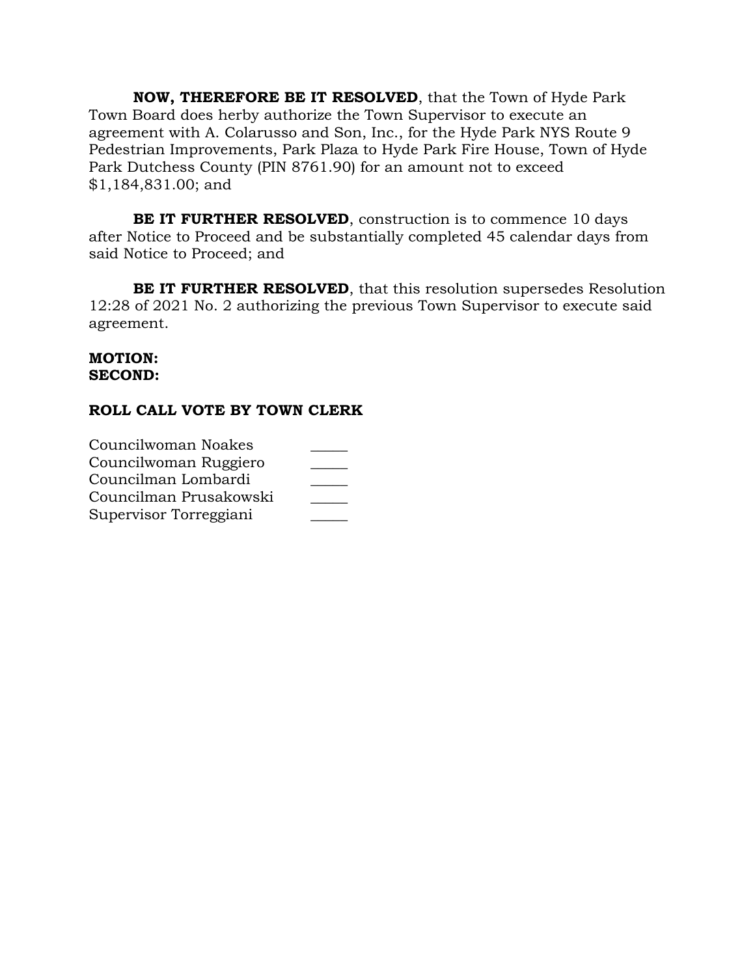**NOW, THEREFORE BE IT RESOLVED**, that the Town of Hyde Park Town Board does herby authorize the Town Supervisor to execute an agreement with A. Colarusso and Son, Inc., for the Hyde Park NYS Route 9 Pedestrian Improvements, Park Plaza to Hyde Park Fire House, Town of Hyde Park Dutchess County (PIN 8761.90) for an amount not to exceed \$1,184,831.00; and

**BE IT FURTHER RESOLVED**, construction is to commence 10 days after Notice to Proceed and be substantially completed 45 calendar days from said Notice to Proceed; and

**BE IT FURTHER RESOLVED**, that this resolution supersedes Resolution 12:28 of 2021 No. 2 authorizing the previous Town Supervisor to execute said agreement.

### **MOTION: SECOND:**

| Councilwoman Noakes    |  |
|------------------------|--|
| Councilwoman Ruggiero  |  |
| Councilman Lombardi    |  |
| Councilman Prusakowski |  |
| Supervisor Torreggiani |  |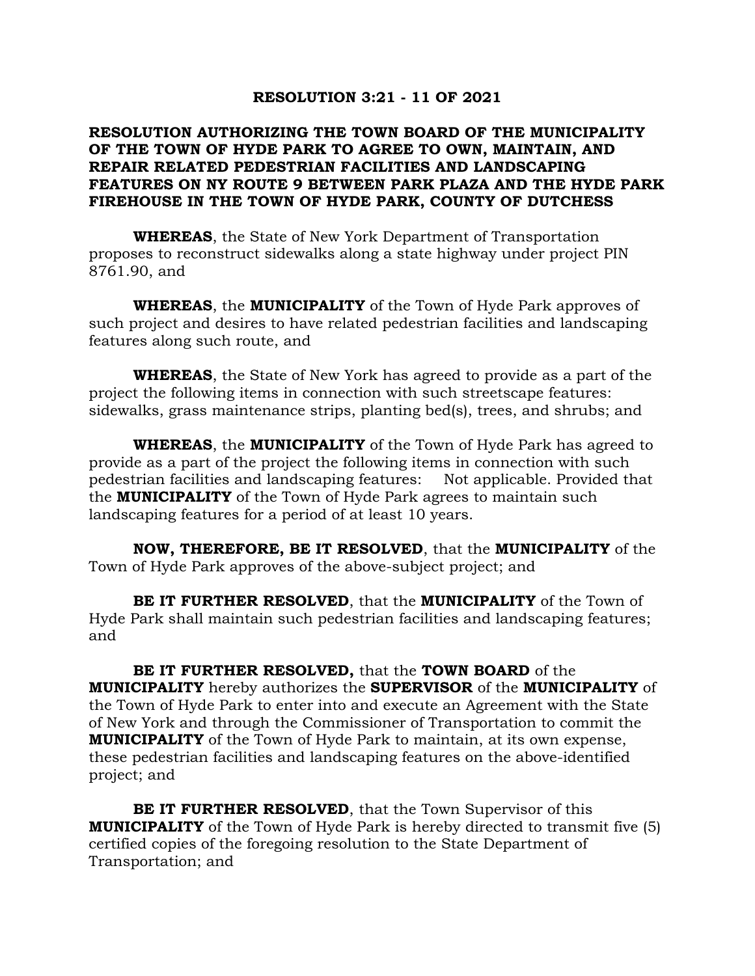### **RESOLUTION 3:21 - 11 OF 2021**

## **RESOLUTION AUTHORIZING THE TOWN BOARD OF THE MUNICIPALITY OF THE TOWN OF HYDE PARK TO AGREE TO OWN, MAINTAIN, AND REPAIR RELATED PEDESTRIAN FACILITIES AND LANDSCAPING FEATURES ON NY ROUTE 9 BETWEEN PARK PLAZA AND THE HYDE PARK FIREHOUSE IN THE TOWN OF HYDE PARK, COUNTY OF DUTCHESS**

**WHEREAS**, the State of New York Department of Transportation proposes to reconstruct sidewalks along a state highway under project PIN 8761.90, and

**WHEREAS**, the **MUNICIPALITY** of the Town of Hyde Park approves of such project and desires to have related pedestrian facilities and landscaping features along such route, and

**WHEREAS**, the State of New York has agreed to provide as a part of the project the following items in connection with such streetscape features: sidewalks, grass maintenance strips, planting bed(s), trees, and shrubs; and

**WHEREAS**, the **MUNICIPALITY** of the Town of Hyde Park has agreed to provide as a part of the project the following items in connection with such pedestrian facilities and landscaping features: Not applicable. Provided that the **MUNICIPALITY** of the Town of Hyde Park agrees to maintain such landscaping features for a period of at least 10 years.

**NOW, THEREFORE, BE IT RESOLVED**, that the **MUNICIPALITY** of the Town of Hyde Park approves of the above-subject project; and

**BE IT FURTHER RESOLVED**, that the **MUNICIPALITY** of the Town of Hyde Park shall maintain such pedestrian facilities and landscaping features; and

**BE IT FURTHER RESOLVED,** that the **TOWN BOARD** of the **MUNICIPALITY** hereby authorizes the **SUPERVISOR** of the **MUNICIPALITY** of the Town of Hyde Park to enter into and execute an Agreement with the State of New York and through the Commissioner of Transportation to commit the **MUNICIPALITY** of the Town of Hyde Park to maintain, at its own expense, these pedestrian facilities and landscaping features on the above-identified project; and

**BE IT FURTHER RESOLVED**, that the Town Supervisor of this **MUNICIPALITY** of the Town of Hyde Park is hereby directed to transmit five (5) certified copies of the foregoing resolution to the State Department of Transportation; and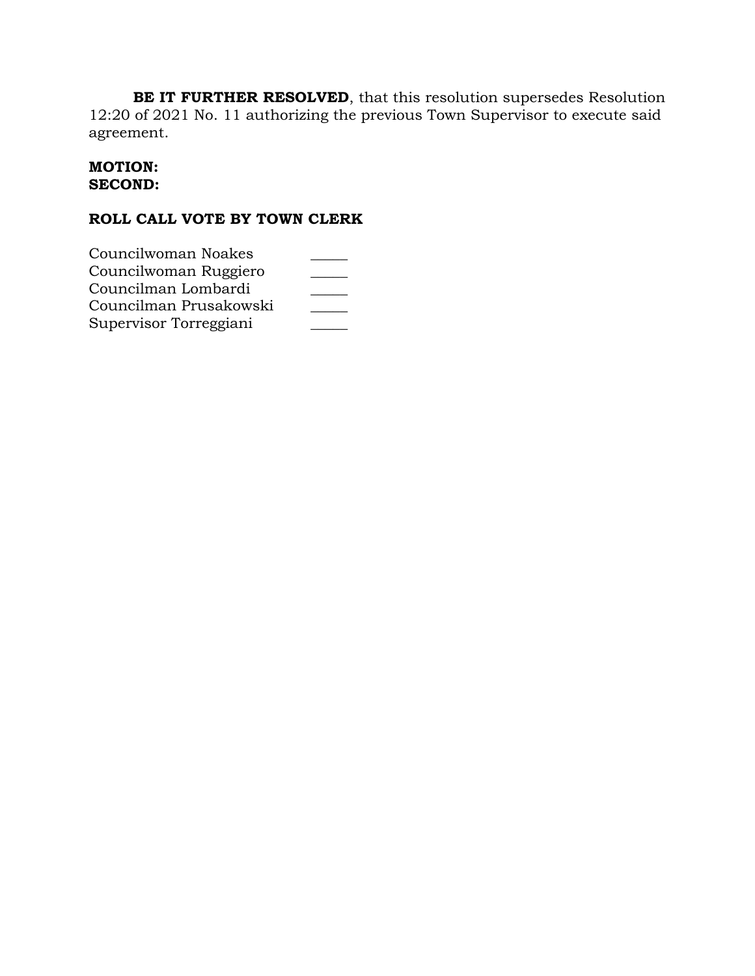**BE IT FURTHER RESOLVED**, that this resolution supersedes Resolution 12:20 of 2021 No. 11 authorizing the previous Town Supervisor to execute said agreement.

## **MOTION: SECOND:**

| Councilwoman Noakes    |  |
|------------------------|--|
| Councilwoman Ruggiero  |  |
| Councilman Lombardi    |  |
| Councilman Prusakowski |  |
| Supervisor Torreggiani |  |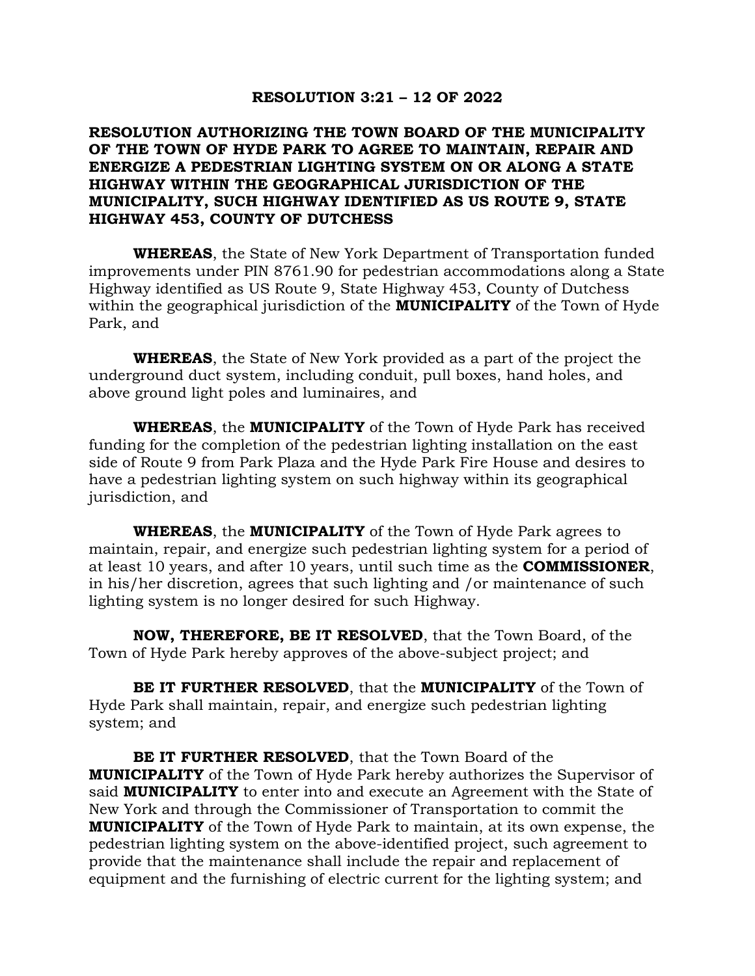### **RESOLUTION 3:21 – 12 OF 2022**

## **RESOLUTION AUTHORIZING THE TOWN BOARD OF THE MUNICIPALITY OF THE TOWN OF HYDE PARK TO AGREE TO MAINTAIN, REPAIR AND ENERGIZE A PEDESTRIAN LIGHTING SYSTEM ON OR ALONG A STATE HIGHWAY WITHIN THE GEOGRAPHICAL JURISDICTION OF THE MUNICIPALITY, SUCH HIGHWAY IDENTIFIED AS US ROUTE 9, STATE HIGHWAY 453, COUNTY OF DUTCHESS**

**WHEREAS**, the State of New York Department of Transportation funded improvements under PIN 8761.90 for pedestrian accommodations along a State Highway identified as US Route 9, State Highway 453, County of Dutchess within the geographical jurisdiction of the **MUNICIPALITY** of the Town of Hyde Park, and

**WHEREAS**, the State of New York provided as a part of the project the underground duct system, including conduit, pull boxes, hand holes, and above ground light poles and luminaires, and

**WHEREAS**, the **MUNICIPALITY** of the Town of Hyde Park has received funding for the completion of the pedestrian lighting installation on the east side of Route 9 from Park Plaza and the Hyde Park Fire House and desires to have a pedestrian lighting system on such highway within its geographical jurisdiction, and

**WHEREAS**, the **MUNICIPALITY** of the Town of Hyde Park agrees to maintain, repair, and energize such pedestrian lighting system for a period of at least 10 years, and after 10 years, until such time as the **COMMISSIONER**, in his/her discretion, agrees that such lighting and /or maintenance of such lighting system is no longer desired for such Highway.

**NOW, THEREFORE, BE IT RESOLVED**, that the Town Board, of the Town of Hyde Park hereby approves of the above-subject project; and

**BE IT FURTHER RESOLVED**, that the **MUNICIPALITY** of the Town of Hyde Park shall maintain, repair, and energize such pedestrian lighting system; and

**BE IT FURTHER RESOLVED**, that the Town Board of the **MUNICIPALITY** of the Town of Hyde Park hereby authorizes the Supervisor of said **MUNICIPALITY** to enter into and execute an Agreement with the State of New York and through the Commissioner of Transportation to commit the **MUNICIPALITY** of the Town of Hyde Park to maintain, at its own expense, the pedestrian lighting system on the above-identified project, such agreement to provide that the maintenance shall include the repair and replacement of equipment and the furnishing of electric current for the lighting system; and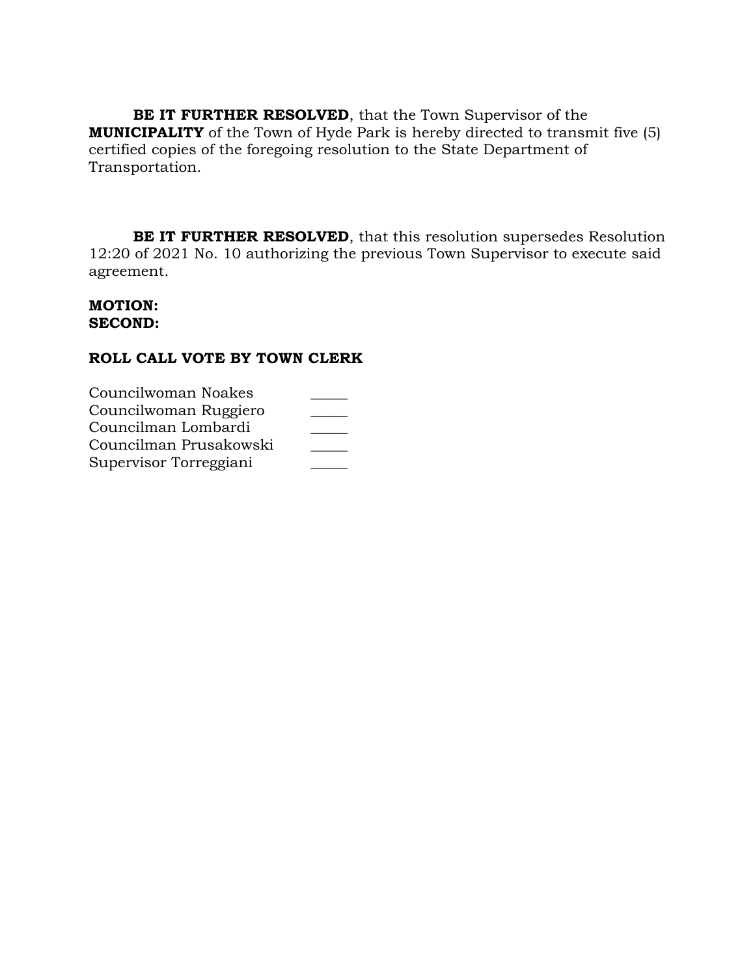**BE IT FURTHER RESOLVED**, that the Town Supervisor of the **MUNICIPALITY** of the Town of Hyde Park is hereby directed to transmit five (5) certified copies of the foregoing resolution to the State Department of Transportation.

**BE IT FURTHER RESOLVED**, that this resolution supersedes Resolution 12:20 of 2021 No. 10 authorizing the previous Town Supervisor to execute said agreement.

### **MOTION: SECOND:**

| Councilwoman Noakes    |  |
|------------------------|--|
| Councilwoman Ruggiero  |  |
| Councilman Lombardi    |  |
| Councilman Prusakowski |  |
| Supervisor Torreggiani |  |
|                        |  |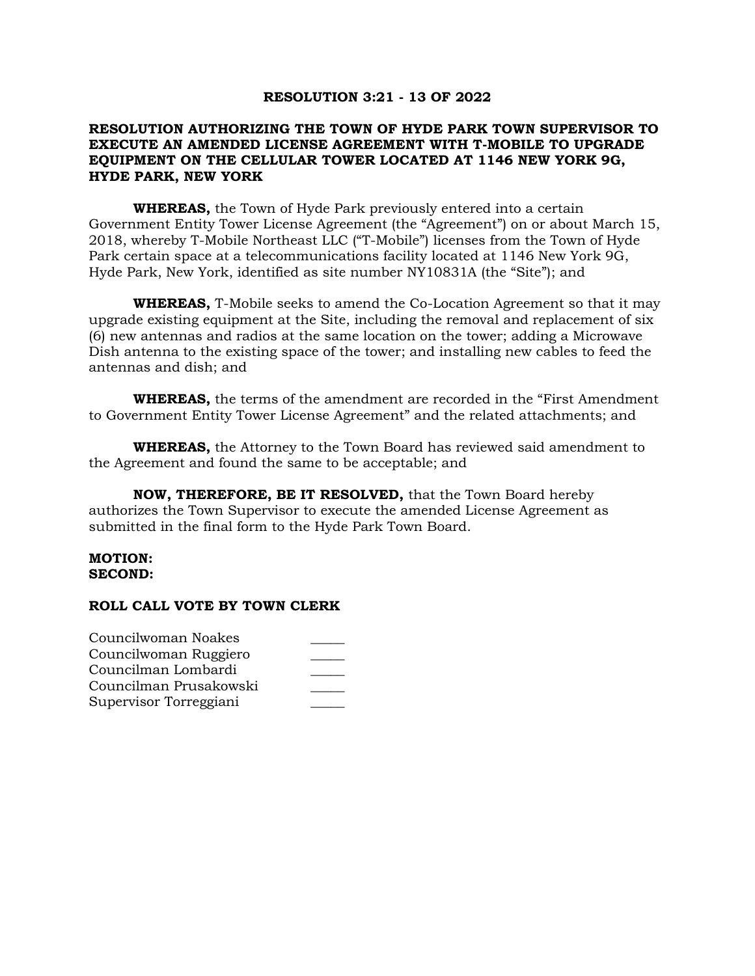#### **RESOLUTION 3:21 - 13 OF 2022**

### **RESOLUTION AUTHORIZING THE TOWN OF HYDE PARK TOWN SUPERVISOR TO EXECUTE AN AMENDED LICENSE AGREEMENT WITH T-MOBILE TO UPGRADE EQUIPMENT ON THE CELLULAR TOWER LOCATED AT 1146 NEW YORK 9G, HYDE PARK, NEW YORK**

**WHEREAS,** the Town of Hyde Park previously entered into a certain Government Entity Tower License Agreement (the "Agreement") on or about March 15, 2018, whereby T-Mobile Northeast LLC ("T-Mobile") licenses from the Town of Hyde Park certain space at a telecommunications facility located at 1146 New York 9G, Hyde Park, New York, identified as site number NY10831A (the "Site"); and

**WHEREAS,** T-Mobile seeks to amend the Co-Location Agreement so that it may upgrade existing equipment at the Site, including the removal and replacement of six (6) new antennas and radios at the same location on the tower; adding a Microwave Dish antenna to the existing space of the tower; and installing new cables to feed the antennas and dish; and

**WHEREAS,** the terms of the amendment are recorded in the "First Amendment to Government Entity Tower License Agreement" and the related attachments; and

**WHEREAS,** the Attorney to the Town Board has reviewed said amendment to the Agreement and found the same to be acceptable; and

**NOW, THEREFORE, BE IT RESOLVED,** that the Town Board hereby authorizes the Town Supervisor to execute the amended License Agreement as submitted in the final form to the Hyde Park Town Board.

#### **MOTION: SECOND:**

| Councilwoman Noakes    |  |
|------------------------|--|
| Councilwoman Ruggiero  |  |
| Councilman Lombardi    |  |
| Councilman Prusakowski |  |
| Supervisor Torreggiani |  |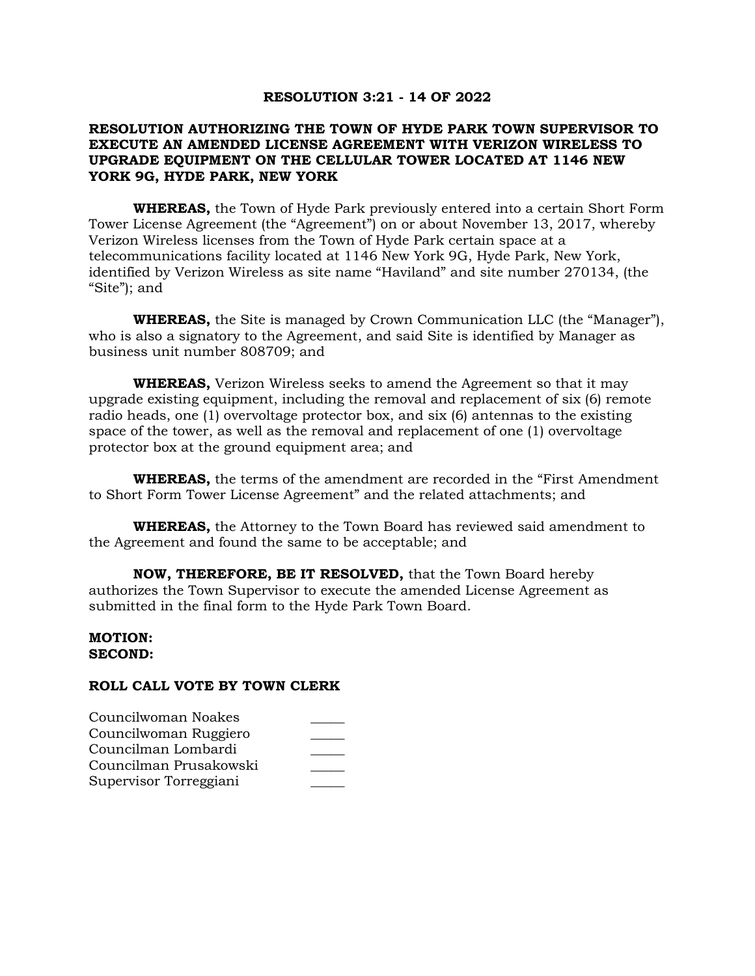#### **RESOLUTION 3:21 - 14 OF 2022**

### **RESOLUTION AUTHORIZING THE TOWN OF HYDE PARK TOWN SUPERVISOR TO EXECUTE AN AMENDED LICENSE AGREEMENT WITH VERIZON WIRELESS TO UPGRADE EQUIPMENT ON THE CELLULAR TOWER LOCATED AT 1146 NEW YORK 9G, HYDE PARK, NEW YORK**

**WHEREAS,** the Town of Hyde Park previously entered into a certain Short Form Tower License Agreement (the "Agreement") on or about November 13, 2017, whereby Verizon Wireless licenses from the Town of Hyde Park certain space at a telecommunications facility located at 1146 New York 9G, Hyde Park, New York, identified by Verizon Wireless as site name "Haviland" and site number 270134, (the "Site"); and

**WHEREAS,** the Site is managed by Crown Communication LLC (the "Manager"), who is also a signatory to the Agreement, and said Site is identified by Manager as business unit number 808709; and

**WHEREAS,** Verizon Wireless seeks to amend the Agreement so that it may upgrade existing equipment, including the removal and replacement of six (6) remote radio heads, one (1) overvoltage protector box, and six (6) antennas to the existing space of the tower, as well as the removal and replacement of one (1) overvoltage protector box at the ground equipment area; and

**WHEREAS,** the terms of the amendment are recorded in the "First Amendment to Short Form Tower License Agreement" and the related attachments; and

**WHEREAS,** the Attorney to the Town Board has reviewed said amendment to the Agreement and found the same to be acceptable; and

**NOW, THEREFORE, BE IT RESOLVED,** that the Town Board hereby authorizes the Town Supervisor to execute the amended License Agreement as submitted in the final form to the Hyde Park Town Board.

#### **MOTION: SECOND:**

| Councilwoman Noakes    |  |
|------------------------|--|
| Councilwoman Ruggiero  |  |
| Councilman Lombardi    |  |
| Councilman Prusakowski |  |
| Supervisor Torreggiani |  |
|                        |  |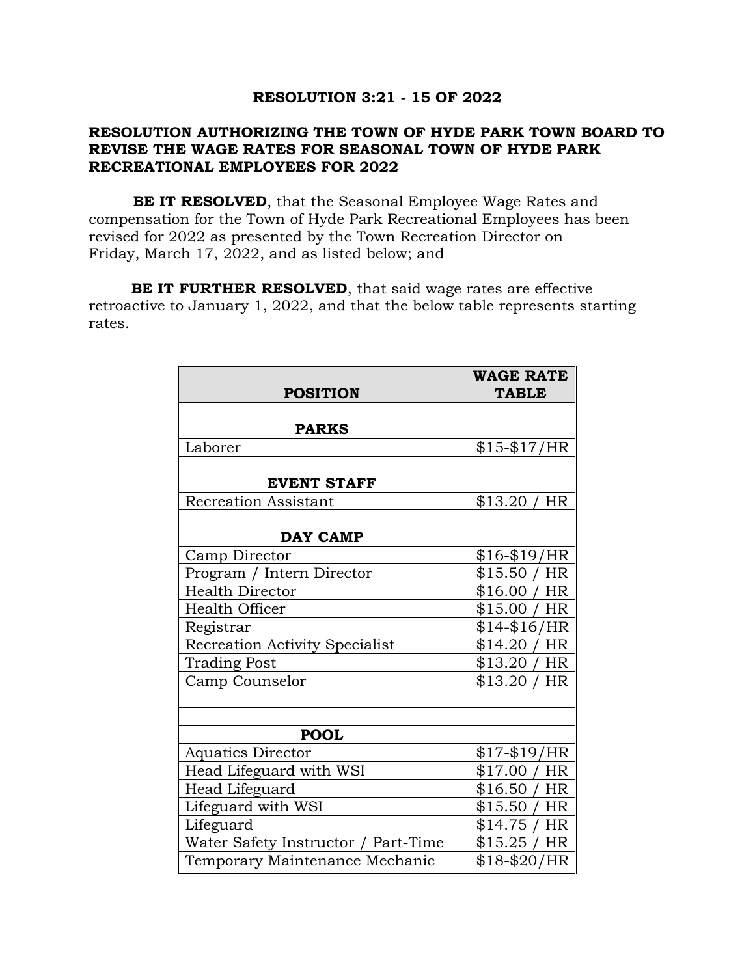### **RESOLUTION 3:21 - 15 OF 2022**

## **RESOLUTION AUTHORIZING THE TOWN OF HYDE PARK TOWN BOARD TO REVISE THE WAGE RATES FOR SEASONAL TOWN OF HYDE PARK RECREATIONAL EMPLOYEES FOR 2022**

**BE IT RESOLVED**, that the Seasonal Employee Wage Rates and compensation for the Town of Hyde Park Recreational Employees has been revised for 2022 as presented by the Town Recreation Director on Friday, March 17, 2022, and as listed below; and

**BE IT FURTHER RESOLVED**, that said wage rates are effective retroactive to January 1, 2022, and that the below table represents starting rates.

| <b>POSITION</b>                       | <b>WAGE RATE</b><br><b>TABLE</b> |
|---------------------------------------|----------------------------------|
|                                       |                                  |
| <b>PARKS</b>                          |                                  |
| Laborer                               | $$15-\$17/HR$                    |
|                                       |                                  |
| <b>EVENT STAFF</b>                    |                                  |
| <b>Recreation Assistant</b>           | \$13.20<br><b>HR</b>             |
|                                       |                                  |
| <b>DAY CAMP</b>                       |                                  |
| Camp Director                         | $$16-\$19/HR$                    |
| Program / Intern Director             | \$15.50<br>HR                    |
| <b>Health Director</b>                | \$16.00<br>HR                    |
| Health Officer                        | \$15.00<br>HR                    |
| Registrar                             | $$14 - $16/HR$                   |
| <b>Recreation Activity Specialist</b> | \$14.20<br>HR                    |
| <b>Trading Post</b>                   | \$13.20<br><b>HR</b>             |
| Camp Counselor                        | \$13.20<br>HR                    |
|                                       |                                  |
|                                       |                                  |
| <b>POOL</b>                           |                                  |
| <b>Aquatics Director</b>              | $$17-\$19/HR$                    |
| Head Lifeguard with WSI               | \$17.00<br><b>HR</b>             |
| Head Lifeguard                        | \$16.50<br><b>HR</b>             |
| Lifeguard with WSI                    | \$15.50<br>HR                    |
| Lifeguard                             | \$14.75<br><b>HR</b>             |
| Water Safety Instructor / Part-Time   | \$15.25/<br><b>HR</b>            |
| Temporary Maintenance Mechanic        | $$18 - $20/HR$                   |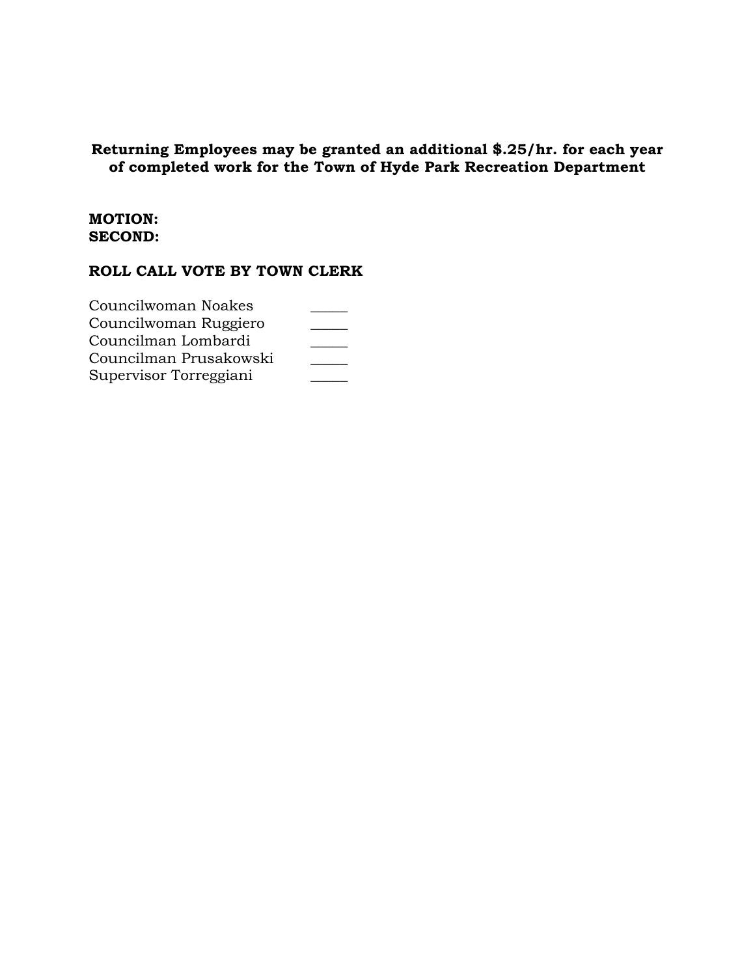# **Returning Employees may be granted an additional \$.25/hr. for each year of completed work for the Town of Hyde Park Recreation Department**

### **MOTION: SECOND:**

| Councilwoman Noakes    |  |
|------------------------|--|
| Councilwoman Ruggiero  |  |
| Councilman Lombardi    |  |
| Councilman Prusakowski |  |
| Supervisor Torreggiani |  |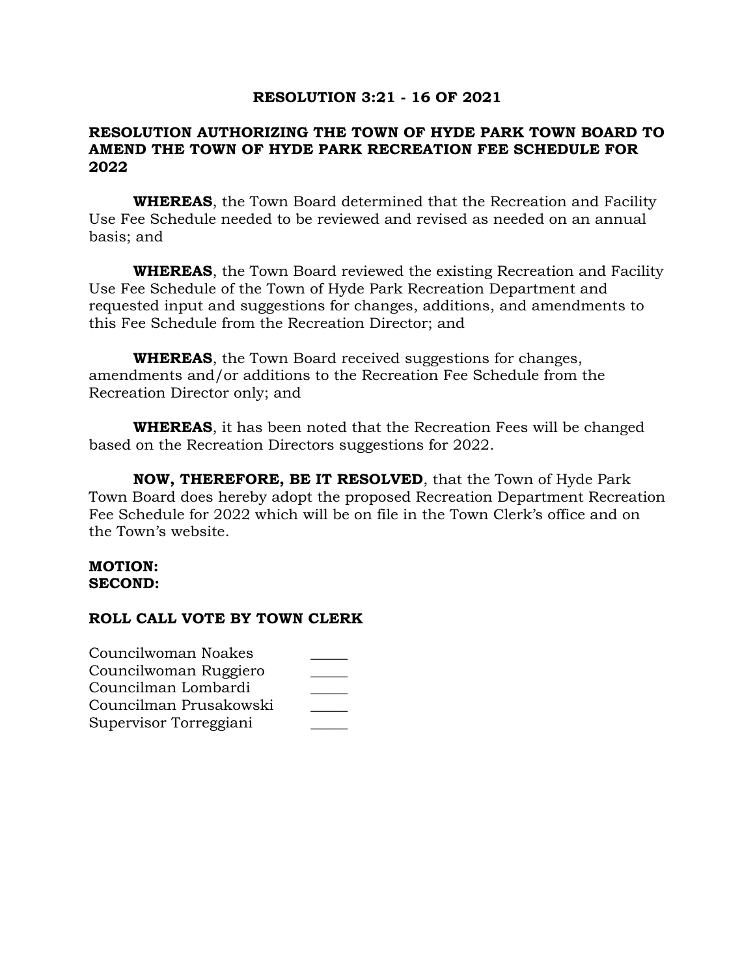## **RESOLUTION 3:21 - 16 OF 2021**

## **RESOLUTION AUTHORIZING THE TOWN OF HYDE PARK TOWN BOARD TO AMEND THE TOWN OF HYDE PARK RECREATION FEE SCHEDULE FOR 2022**

**WHEREAS**, the Town Board determined that the Recreation and Facility Use Fee Schedule needed to be reviewed and revised as needed on an annual basis; and

**WHEREAS**, the Town Board reviewed the existing Recreation and Facility Use Fee Schedule of the Town of Hyde Park Recreation Department and requested input and suggestions for changes, additions, and amendments to this Fee Schedule from the Recreation Director; and

**WHEREAS**, the Town Board received suggestions for changes, amendments and/or additions to the Recreation Fee Schedule from the Recreation Director only; and

**WHEREAS**, it has been noted that the Recreation Fees will be changed based on the Recreation Directors suggestions for 2022.

**NOW, THEREFORE, BE IT RESOLVED**, that the Town of Hyde Park Town Board does hereby adopt the proposed Recreation Department Recreation Fee Schedule for 2022 which will be on file in the Town Clerk's office and on the Town's website.

### **MOTION: SECOND:**

| Councilwoman Noakes    |  |
|------------------------|--|
| Councilwoman Ruggiero  |  |
| Councilman Lombardi    |  |
| Councilman Prusakowski |  |
| Supervisor Torreggiani |  |